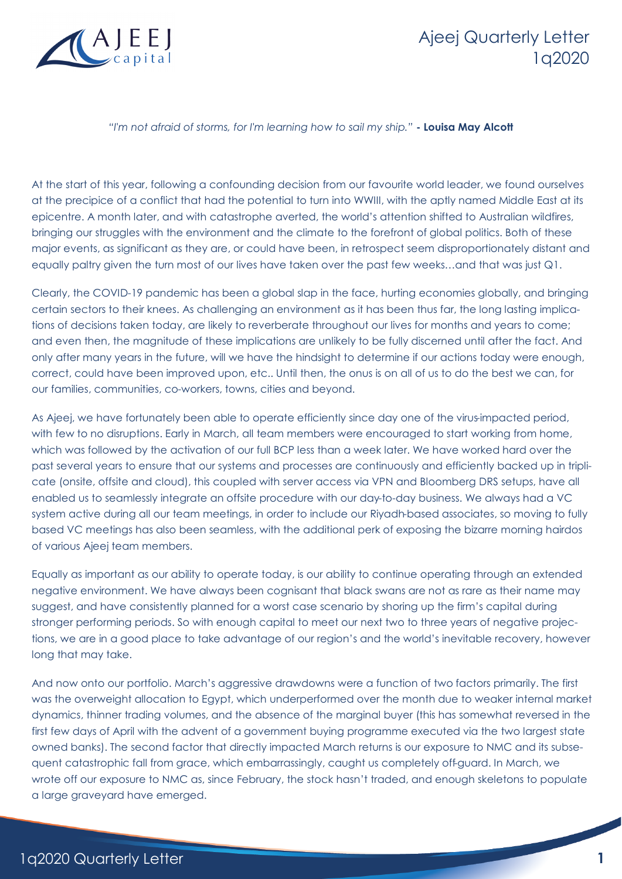

## Ajeej Quarterly Letter 1q2020

## *"I'm not afraid of storms, for I'm learning how to sail my ship."* **- Louisa May Alcott**

At the start of this year, following a confounding decision from our favourite world leader, we found ourselves at the precipice of a conflict that had the potential to turn into WWIII, with the aptly named Middle East at its epicentre. A month later, and with catastrophe averted, the world's attention shifted to Australian wildfires, bringing our struggles with the environment and the climate to the forefront of global politics. Both of these major events, as significant as they are, or could have been, in retrospect seem disproportionately distant and equally paltry given the turn most of our lives have taken over the past few weeks…and that was just Q1.

Clearly, the COVID-19 pandemic has been a global slap in the face, hurting economies globally, and bringing certain sectors to their knees. As challenging an environment as it has been thus far, the long lasting implications of decisions taken today, are likely to reverberate throughout our lives for months and years to come; and even then, the magnitude of these implications are unlikely to be fully discerned until after the fact. And only after many years in the future, will we have the hindsight to determine if our actions today were enough, correct, could have been improved upon, etc.. Until then, the onus is on all of us to do the best we can, for our families, communities, co-workers, towns, cities and beyond.

As Ajeej, we have fortunately been able to operate efficiently since day one of the virus-impacted period, with few to no disruptions. Early in March, all team members were encouraged to start working from home, which was followed by the activation of our full BCP less than a week later. We have worked hard over the past several years to ensure that our systems and processes are continuously and efficiently backed up in triplicate (onsite, offsite and cloud), this coupled with server access via VPN and Bloomberg DRS setups, have all enabled us to seamlessly integrate an offsite procedure with our day-to-day business. We always had a VC system active during all our team meetings, in order to include our Riyadh-based associates, so moving to fully based VC meetings has also been seamless, with the additional perk of exposing the bizarre morning hairdos of various Ajeej team members.

Equally as important as our ability to operate today, is our ability to continue operating through an extended negative environment. We have always been cognisant that black swans are not as rare as their name may suggest, and have consistently planned for a worst case scenario by shoring up the firm's capital during stronger performing periods. So with enough capital to meet our next two to three years of negative projections, we are in a good place to take advantage of our region's and the world's inevitable recovery, however long that may take.

And now onto our portfolio. March's aggressive drawdowns were a function of two factors primarily. The first was the overweight allocation to Egypt, which underperformed over the month due to weaker internal market dynamics, thinner trading volumes, and the absence of the marginal buyer (this has somewhat reversed in the first few days of April with the advent of a government buying programme executed via the two largest state owned banks). The second factor that directly impacted March returns is our exposure to NMC and its subsequent catastrophic fall from grace, which embarrassingly, caught us completely off-guard. In March, we wrote off our exposure to NMC as, since February, the stock hasn't traded, and enough skeletons to populate a large graveyard have emerged.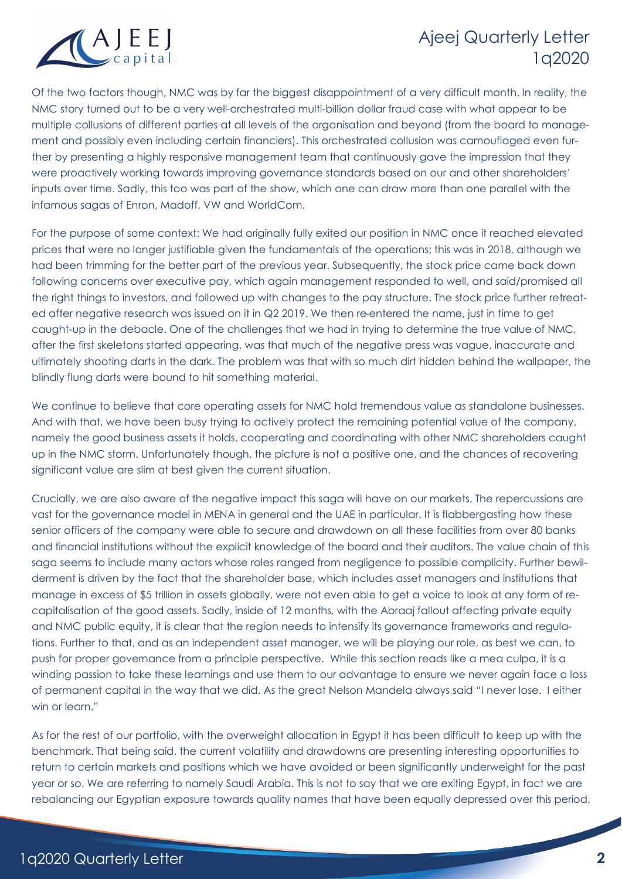

## Ajeej Quarterly Letter 1q2020

Of the two factors though, NMC was by far the biggest disappointment of a very difficult month. In reality, the NMC story turned out to be a very well-orchestrated multi-billion dollar fraud case with what appear to be multiple collusions of different parties at all levels of the organisation and beyond (from the board to management and possibly even including certain financiers). This orchestrated collusion was camouflaged even further by presenting a highly responsive management team that continuously gave the impression that they were proactively working towards improving governance standards based on our and other shareholders' inputs over time. Sadly, this too was part of the show, which one can draw more than one parallel with the infamous sagas of Enron, Madoff, VW and WorldCom.

For the purpose of some context: We had originally fully exited our position in NMC once it reached elevated prices that were no longer justifiable given the fundamentals of the operations; this was in 2018, although we had been trimming for the better part of the previous year. Subsequently, the stock price came back down following concerns over executive pay, which again management responded to well, and said/promised all the right things to investors, and followed up with changes to the pay structure. The stock price further retreated after negative research was issued on it in Q2 2019. We then re-entered the name, just in time to get caught-up in the debacle. One of the challenges that we had in trying to determine the true value of NMC, after the first skeletons started appearing, was that much of the negative press was vague, inaccurate and ultimately shooting darts in the dark. The problem was that with so much dirt hidden behind the wallpaper, the blindly flung darts were bound to hit something material.

We continue to believe that core operating assets for NMC hold tremendous value as standalone businesses. And with that, we have been busy trying to actively protect the remaining potential value of the company, namely the good business assets it holds, cooperating and coordinating with other NMC shareholders caught up in the NMC storm. Unfortunately though, the picture is not a positive one, and the chances of recovering significant value are slim at best given the current situation.

Crucially, we are also aware of the negative impact this saga will have on our markets. The repercussions are vast for the governance model in MENA in general and the UAE in particular. It is flabbergasting how these senior officers of the company were able to secure and drawdown on all these facilities from over 80 banks and financial institutions without the explicit knowledge of the board and their auditors. The value chain of this saga seems to include many actors whose roles ranged from negligence to possible complicity. Further bewilderment is driven by the fact that the shareholder base, which includes asset managers and institutions that manage in excess of \$5 trillion in assets globally, were not even able to get a voice to look at any form of recapitalisation of the good assets. Sadly, inside of 12 months, with the Abraaj fallout affecting private equity and NMC public equity, it is clear that the region needs to intensify its governance frameworks and regulations. Further to that, and as an independent asset manager, we will be playing our role, as best we can, to push for proper governance from a principle perspective. While this section reads like a mea culpa, it is a winding passion to take these learnings and use them to our advantage to ensure we never again face a loss of permanent capital in the way that we did. As the great Nelson Mandela always said "I never lose. I either win or learn."

As for the rest of our portfolio, with the overweight allocation in Egypt it has been difficult to keep up with the benchmark. That being said, the current volatility and drawdowns are presenting interesting opportunities to return to certain markets and positions which we have avoided or been significantly underweight for the past year or so. We are referring to namely Saudi Arabia. This is not to say that we are exiting Egypt, in fact we are rebalancing our Egyptian exposure towards quality names that have been equally depressed over this period,